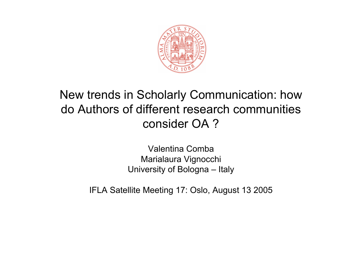

#### New trends in Scholarly Communication: how do Authors of different research communities consider OA ?

Valentina CombaMarialaura Vignocchi University of Bologna – Italy

IFLA Satellite Meeting 17: Oslo, August 13 2005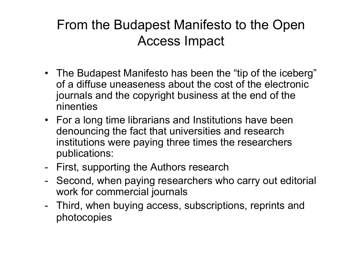#### From the Budapest Manifesto to the Open Access Impact

- The Budapest Manifesto has been the "tip of the iceberg" of a diffuse uneaseness about the cost of the electronic journals and the copyright business at the end of the ninenties
- For a long time librarians and Institutions have been denouncing the fact that universities and research institutions were paying three times the researchers publications:
- -- First, supporting the Authors research
- - Second, when paying researchers who carry out editorial work for commercial journals
- - Third, when buying access, subscriptions, reprints and photocopies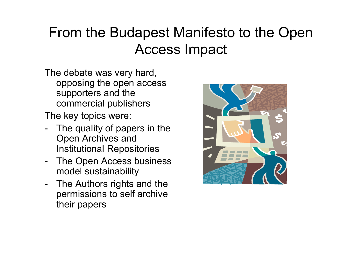### From the Budapest Manifesto to the Open Access Impact

The debate was very hard, opposing the open access supporters and the commercial publishers

The key topics were:

- The quality of papers in the Open Archives and Institutional Repositories
- The Open Access business model sustainability
- -- The Authors rights and the permissions to self archive their papers

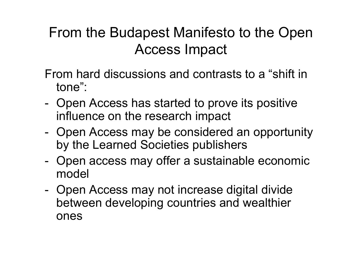### From the Budapest Manifesto to the Open Access Impact

- From hard discussions and contrasts to a "shift in tone":
- -- Open Access has started to prove its positive influence on the research impact
- - Open Access may be considered an opportunity by the Learned Societies publishers
- - Open access may offer a sustainable economic model
- -- Open Access may not increase digital divide between developing countries and wealthier ones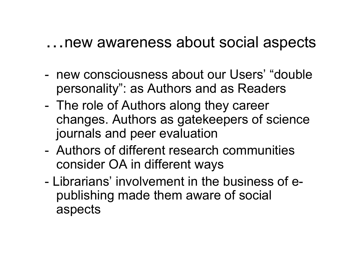### …new awareness about social aspects

- new consciousness about our Users' "doublepersonality": as Authors and as Readers
- The role of Authors along they career changes. Authors as gatekeepers of science journals and peer evaluation
- Authors of different research communities consider OA in different ways
- Librarians' involvement in the business of epublishing made them aware of social aspects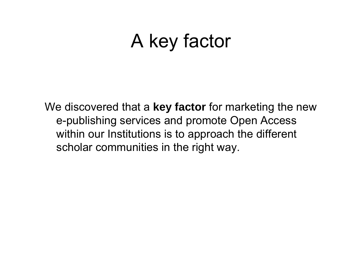## A key factor

We discovered that <sup>a</sup> **key factor** for marketing the new e-publishing services and promote Open Access within our Institutions is to approach the different scholar communities in the right way.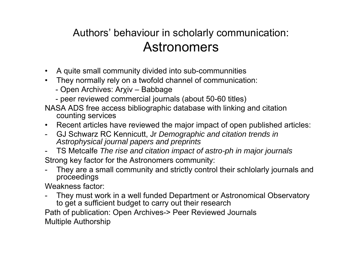#### Authors' behaviour in scholarly communication: Astronomers

- $\bullet$ • A quite small community divided into sub-communnities
- • They normally rely on a twofold channel of communication:
	- Open Archives: Arχiv Babbage
	- peer reviewed commercial journals (about 50-60 titles)
- NASA ADS free access bibliographic database with linking and citation counting services
- Recent articles have reviewed the major impact of open published articles:
- - GJ Schwarz RC Kennicutt, Jr *Demographic and citation trends in Astrophysical journal papers and preprints*
- - TS Metcalfe *The rise and citation impact of astro-ph in major journals* Strong key factor for the Astronomers community:
- - They are a small community and strictly control their schlolarly journals and proceedings

Weakness factor:

- They must work in a well funded Department or Astronomical Observatory to get a sufficient budget to carry out their research

Path of publication: Open Archives-> Peer Reviewed Journals Multiple Authorship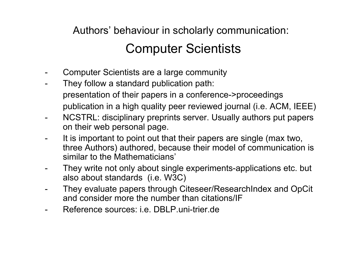#### Authors' behaviour in scholarly communication: Computer Scientists

- Computer Scientists are a large community
- - They follow a standard publication path: presentation of their papers in a conference->proceedings publication in a high quality peer reviewed journal (i.e. ACM, IEEE)
- NCSTRL: disciplinary preprints server. Usually authors put papers on their web personal page.
- It is important to point out that their papers are single (max two, three Authors) authored, because their model of communication is similar to the Mathematicians'
- They write not only about single experiments-applications etc. but also about standards (i.e. W3C)
- They evaluate papers through Citeseer/ResearchIndex and OpCit and consider more the number than citations/IF
- Reference sources: i.e. DBLP.uni-trier.de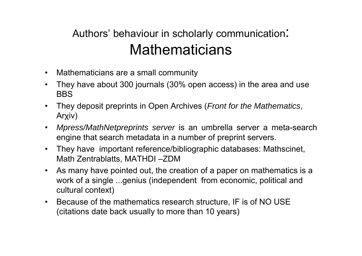#### Authors' behaviour in scholarly communication: **Mathematicians**

- •Mathematicians are a small community
- • They have about 300 journals (30% open access) in the area and use BBS
- $\bullet$  They deposit preprints in Open Archives (*Front for the Mathematics*, Arχiv)
- • *Mpress/MathNetpreprints server* is an umbrella server a meta-search engine that search metadata in a number of preprint servers.
- • They have important reference/bibliographic databases: Mathscinet, Math Zentrablatts, MATHDI –ZDM
- $\bullet$  As many have pointed out, the creation of a paper on mathematics is <sup>a</sup> work of a single ...genius (independent from economic, political and cultural context)
- •• Because of the mathematics research structure, IF is of NO USE (citations date back usually to more than 10 years)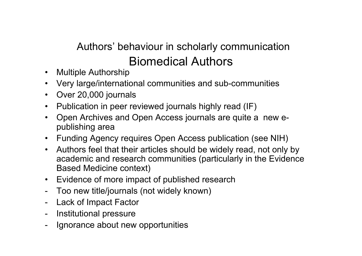#### Authors' behaviour in scholarly communication Biomedical Authors

- $\bullet$ Multiple Authorship
- •Very large/international communities and sub-communities
- •Over 20,000 journals
- •• Publication in peer reviewed journals highly read (IF)
- $\bullet$  Open Archives and Open Access journals are quite a new epublishing area
- Funding Agency requires Open Access publication (see NIH)
- $\bullet$  Authors feel that their articles should be widely read, not only by academic and research communities (particularly in the Evidence Based Medicine context)
- $\bullet$ Evidence of more impact of published research
- -Too new title/journals (not widely known)
- Lack of Impact Factor
- -Institutional pressure
- -Ignorance about new opportunities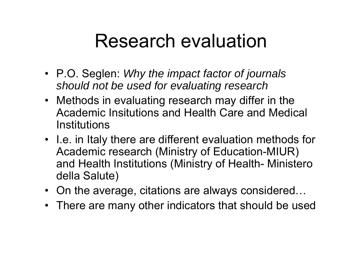### Research evaluation

- P.O. Seglen: *Why the impact factor of journals should not be used for evaluating research*
- Methods in evaluating research may differ in the Academic Insitutions and Health Care and Medical **Institutions**
- I.e. in Italy there are different evaluation methods for Academic research (Ministry of Education-MIUR) and Health Institutions (Ministry of Health- Ministero della Salute)
- On the average, citations are always considered…
- There are many other indicators that should be used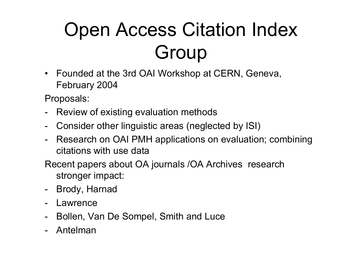# Open Access Citation Index Group

• Founded at the 3rd OAI Workshop at CERN, Geneva, February 2004

Proposals:

- -Review of existing evaluation methods
- -Consider other linguistic areas (neglected by ISI)
- -Research on OAI PMH applications on evaluation; combining citations with use data

Recent papers about OA journals /OA Archives research stronger impact:

- Brody, Harnad
- -Lawrence
- -Bollen, Van De Sompel, Smith and Luce
- -Antelman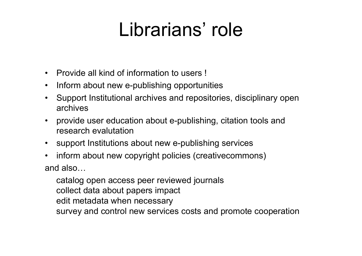## Librarians' role

- $\bullet$ Provide all kind of information to users !
- •• Inform about new e-publishing opportunities
- • Support Institutional archives and repositories, disciplinary open archives
- • provide user education about e-publishing, citation tools and research evalutation
- $\bullet$ support Institutions about new e-publishing services
- •• inform about new copyright policies (creativecommons) and also…

catalog open access peer reviewed journals collect data about papers impact edit metadata when necessary survey and control new services costs and promote cooperation